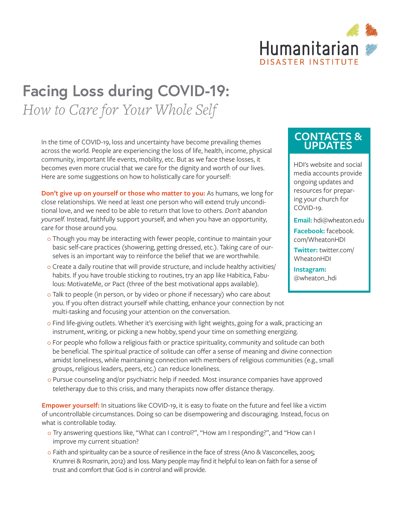

## **Facing Loss during COVID-19:**  *How to Care for Your Whole Self*

In the time of COVID-19, loss and uncertainty have become prevailing themes across the world. People are experiencing the loss of life, health, income, physical community, important life events, mobility, etc. But as we face these losses, it becomes even more crucial that we care for the dignity and worth of our lives. Here are some suggestions on how to holistically care for yourself:

**Don't give up on yourself or those who matter to you:** As humans, we long for close relationships. We need at least one person who will extend truly unconditional love, and we need to be able to return that love to others. *Don't abandon yourself.* Instead, faithfully support yourself, and when you have an opportunity, care for those around you.

- o Though you may be interacting with fewer people, continue to maintain your basic self-care practices (showering, getting dressed, etc.). Taking care of ourselves is an important way to reinforce the belief that we are worthwhile.
- o Create a daily routine that will provide structure, and include healthy activities/ habits. If you have trouble sticking to routines, try an app like Habitica, Fabulous: MotivateMe, or Pact (three of the best motivational apps available).
- o Talk to people (in person, or by video or phone if necessary) who care about you. If you often distract yourself while chatting, enhance your connection by not multi-tasking and focusing your attention on the conversation.
- o Find life-giving outlets. Whether it's exercising with light weights, going for a walk, practicing an instrument, writing, or picking a new hobby, spend your time on something energizing.
- o For people who follow a religious faith or practice spirituality, community and solitude can both be beneficial. The spiritual practice of solitude can offer a sense of meaning and divine connection amidst loneliness, while maintaining connection with members of religious communities (e.g., small groups, religious leaders, peers, etc.) can reduce loneliness.
- o Pursue counseling and/or psychiatric help if needed. Most insurance companies have approved teletherapy due to this crisis, and many therapists now offer distance therapy.

**Empower yourself:** In situations like COVID-19, it is easy to fixate on the future and feel like a victim of uncontrollable circumstances. Doing so can be disempowering and discouraging. Instead, focus on what is controllable today.

- o Try answering questions like, "What can I control?", "How am I responding?", and "How can I improve my current situation?
- o Faith and spirituality can be a source of resilience in the face of stress (Ano & Vasconcelles, 2005; Krumrei & Rosmarin, 2012) and loss. Many people may find it helpful to lean on faith for a sense of trust and comfort that God is in control and will provide.

## **CONTACTS & UPDATES**

HDI's website and social media accounts provide ongoing updates and resources for preparing your church for COVID-19.

**Email:** hdi@wheaton.edu

**Facebook:** facebook. com/WheatonHDI

**Twitter:** twitter.com/ WheatonHDI

**Instagram:** @wheaton\_hdi